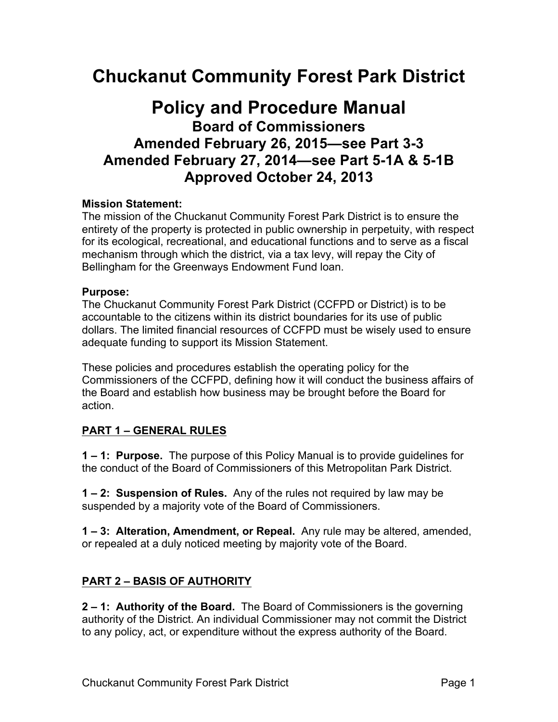# **Chuckanut Community Forest Park District**

## **Policy and Procedure Manual Board of Commissioners Amended February 26, 2015—see Part 3-3 Amended February 27, 2014—see Part 5-1A & 5-1B Approved October 24, 2013**

#### **Mission Statement:**

The mission of the Chuckanut Community Forest Park District is to ensure the entirety of the property is protected in public ownership in perpetuity, with respect for its ecological, recreational, and educational functions and to serve as a fiscal mechanism through which the district, via a tax levy, will repay the City of Bellingham for the Greenways Endowment Fund loan.

#### **Purpose:**

The Chuckanut Community Forest Park District (CCFPD or District) is to be accountable to the citizens within its district boundaries for its use of public dollars. The limited financial resources of CCFPD must be wisely used to ensure adequate funding to support its Mission Statement.

These policies and procedures establish the operating policy for the Commissioners of the CCFPD, defining how it will conduct the business affairs of the Board and establish how business may be brought before the Board for action.

#### **PART 1 – GENERAL RULES**

**1 – 1: Purpose.** The purpose of this Policy Manual is to provide guidelines for the conduct of the Board of Commissioners of this Metropolitan Park District.

**1 – 2: Suspension of Rules.** Any of the rules not required by law may be suspended by a majority vote of the Board of Commissioners.

**1 – 3: Alteration, Amendment, or Repeal.** Any rule may be altered, amended, or repealed at a duly noticed meeting by majority vote of the Board.

#### **PART 2 – BASIS OF AUTHORITY**

**2 – 1: Authority of the Board.** The Board of Commissioners is the governing authority of the District. An individual Commissioner may not commit the District to any policy, act, or expenditure without the express authority of the Board.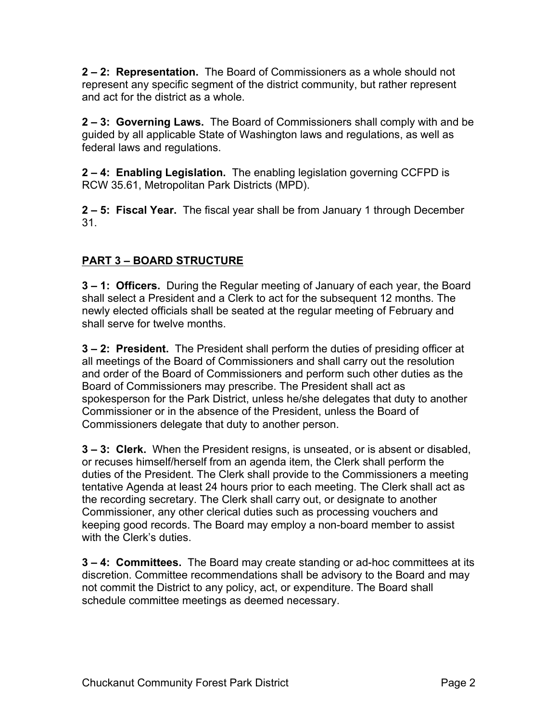**2 – 2: Representation.** The Board of Commissioners as a whole should not represent any specific segment of the district community, but rather represent and act for the district as a whole.

**2 – 3: Governing Laws.** The Board of Commissioners shall comply with and be guided by all applicable State of Washington laws and regulations, as well as federal laws and regulations.

**2 – 4: Enabling Legislation.** The enabling legislation governing CCFPD is RCW 35.61, Metropolitan Park Districts (MPD).

**2 – 5: Fiscal Year.** The fiscal year shall be from January 1 through December 31.

## **PART 3 – BOARD STRUCTURE**

**3 – 1: Officers.** During the Regular meeting of January of each year, the Board shall select a President and a Clerk to act for the subsequent 12 months. The newly elected officials shall be seated at the regular meeting of February and shall serve for twelve months.

**3 – 2: President.** The President shall perform the duties of presiding officer at all meetings of the Board of Commissioners and shall carry out the resolution and order of the Board of Commissioners and perform such other duties as the Board of Commissioners may prescribe. The President shall act as spokesperson for the Park District, unless he/she delegates that duty to another Commissioner or in the absence of the President, unless the Board of Commissioners delegate that duty to another person.

**3 – 3: Clerk.** When the President resigns, is unseated, or is absent or disabled, or recuses himself/herself from an agenda item, the Clerk shall perform the duties of the President. The Clerk shall provide to the Commissioners a meeting tentative Agenda at least 24 hours prior to each meeting. The Clerk shall act as the recording secretary. The Clerk shall carry out, or designate to another Commissioner, any other clerical duties such as processing vouchers and keeping good records. The Board may employ a non-board member to assist with the Clerk's duties

**3 – 4: Committees.** The Board may create standing or ad-hoc committees at its discretion. Committee recommendations shall be advisory to the Board and may not commit the District to any policy, act, or expenditure. The Board shall schedule committee meetings as deemed necessary.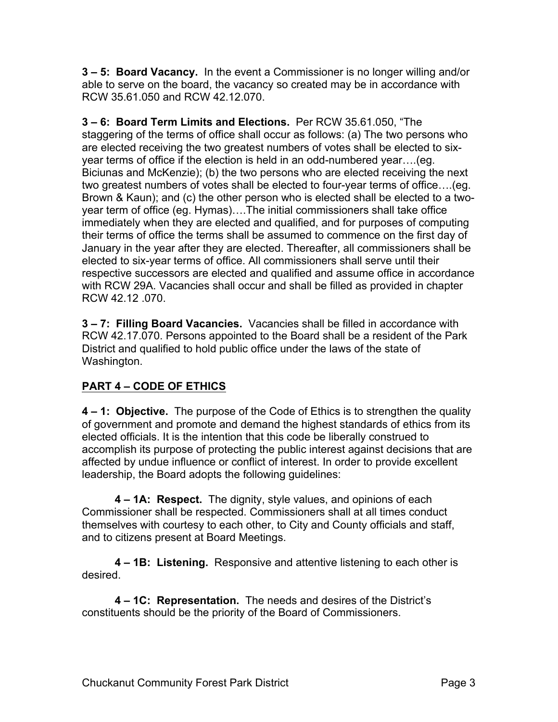**3 – 5: Board Vacancy.** In the event a Commissioner is no longer willing and/or able to serve on the board, the vacancy so created may be in accordance with RCW 35.61.050 and RCW 42.12.070.

**3 – 6: Board Term Limits and Elections.** Per RCW 35.61.050, "The staggering of the terms of office shall occur as follows: (a) The two persons who are elected receiving the two greatest numbers of votes shall be elected to sixyear terms of office if the election is held in an odd-numbered year….(eg. Biciunas and McKenzie); (b) the two persons who are elected receiving the next two greatest numbers of votes shall be elected to four-year terms of office….(eg. Brown & Kaun); and (c) the other person who is elected shall be elected to a twoyear term of office (eg. Hymas)….The initial commissioners shall take office immediately when they are elected and qualified, and for purposes of computing their terms of office the terms shall be assumed to commence on the first day of January in the year after they are elected. Thereafter, all commissioners shall be elected to six-year terms of office. All commissioners shall serve until their respective successors are elected and qualified and assume office in accordance with RCW 29A. Vacancies shall occur and shall be filled as provided in chapter RCW 42.12 .070.

**3 – 7: Filling Board Vacancies.** Vacancies shall be filled in accordance with RCW 42.17.070. Persons appointed to the Board shall be a resident of the Park District and qualified to hold public office under the laws of the state of Washington.

## **PART 4 – CODE OF ETHICS**

**4 – 1: Objective.** The purpose of the Code of Ethics is to strengthen the quality of government and promote and demand the highest standards of ethics from its elected officials. It is the intention that this code be liberally construed to accomplish its purpose of protecting the public interest against decisions that are affected by undue influence or conflict of interest. In order to provide excellent leadership, the Board adopts the following guidelines:

**4 – 1A: Respect.** The dignity, style values, and opinions of each Commissioner shall be respected. Commissioners shall at all times conduct themselves with courtesy to each other, to City and County officials and staff, and to citizens present at Board Meetings.

**4 – 1B: Listening.** Responsive and attentive listening to each other is desired.

**4 – 1C: Representation.** The needs and desires of the District's constituents should be the priority of the Board of Commissioners.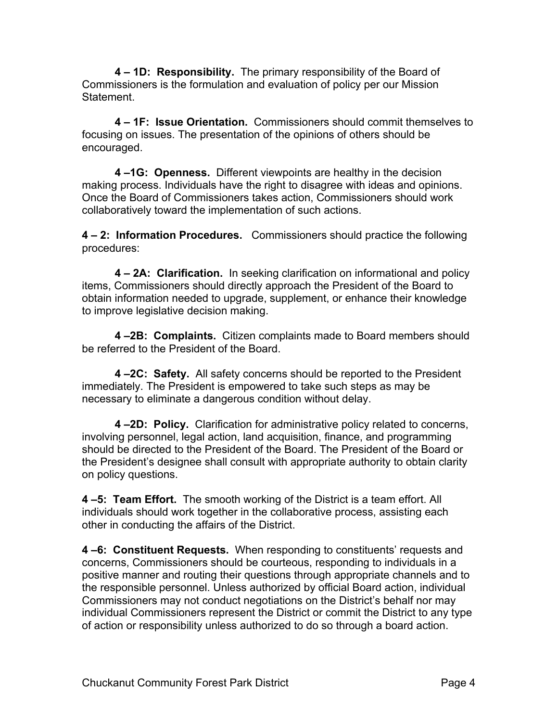**4 – 1D: Responsibility.** The primary responsibility of the Board of Commissioners is the formulation and evaluation of policy per our Mission Statement.

**4 – 1F: Issue Orientation.** Commissioners should commit themselves to focusing on issues. The presentation of the opinions of others should be encouraged.

**4 –1G: Openness.** Different viewpoints are healthy in the decision making process. Individuals have the right to disagree with ideas and opinions. Once the Board of Commissioners takes action, Commissioners should work collaboratively toward the implementation of such actions.

**4 – 2: Information Procedures.** Commissioners should practice the following procedures:

**4 – 2A: Clarification.** In seeking clarification on informational and policy items, Commissioners should directly approach the President of the Board to obtain information needed to upgrade, supplement, or enhance their knowledge to improve legislative decision making.

**4 –2B: Complaints.** Citizen complaints made to Board members should be referred to the President of the Board.

**4 –2C: Safety.** All safety concerns should be reported to the President immediately. The President is empowered to take such steps as may be necessary to eliminate a dangerous condition without delay.

**4 –2D: Policy.** Clarification for administrative policy related to concerns, involving personnel, legal action, land acquisition, finance, and programming should be directed to the President of the Board. The President of the Board or the President's designee shall consult with appropriate authority to obtain clarity on policy questions.

**4 –5: Team Effort.** The smooth working of the District is a team effort. All individuals should work together in the collaborative process, assisting each other in conducting the affairs of the District.

**4 –6: Constituent Requests.** When responding to constituents' requests and concerns, Commissioners should be courteous, responding to individuals in a positive manner and routing their questions through appropriate channels and to the responsible personnel. Unless authorized by official Board action, individual Commissioners may not conduct negotiations on the District's behalf nor may individual Commissioners represent the District or commit the District to any type of action or responsibility unless authorized to do so through a board action.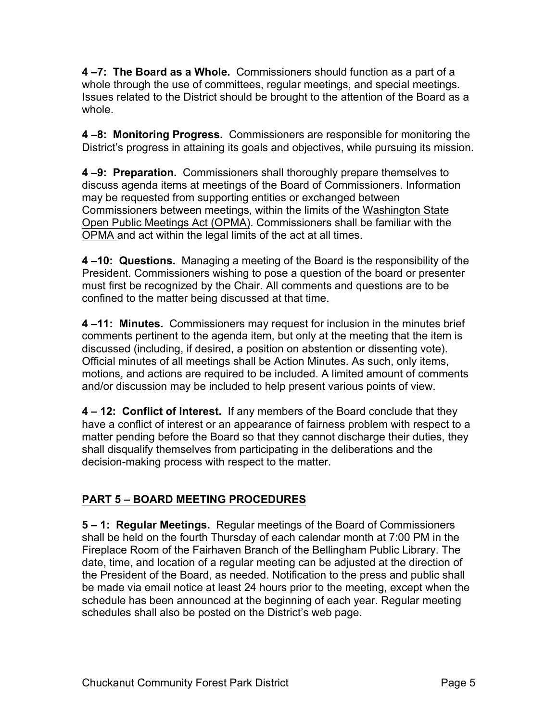**4 –7: The Board as a Whole.** Commissioners should function as a part of a whole through the use of committees, regular meetings, and special meetings. Issues related to the District should be brought to the attention of the Board as a whole.

**4 –8: Monitoring Progress.** Commissioners are responsible for monitoring the District's progress in attaining its goals and objectives, while pursuing its mission.

**4 –9: Preparation.** Commissioners shall thoroughly prepare themselves to discuss agenda items at meetings of the Board of Commissioners. Information may be requested from supporting entities or exchanged between Commissioners between meetings, within the limits of the Washington State Open Public Meetings Act (OPMA). Commissioners shall be familiar with the OPMA and act within the legal limits of the act at all times.

**4 –10: Questions.** Managing a meeting of the Board is the responsibility of the President. Commissioners wishing to pose a question of the board or presenter must first be recognized by the Chair. All comments and questions are to be confined to the matter being discussed at that time.

**4 –11: Minutes.** Commissioners may request for inclusion in the minutes brief comments pertinent to the agenda item, but only at the meeting that the item is discussed (including, if desired, a position on abstention or dissenting vote). Official minutes of all meetings shall be Action Minutes. As such, only items, motions, and actions are required to be included. A limited amount of comments and/or discussion may be included to help present various points of view.

**4 – 12: Conflict of Interest.** If any members of the Board conclude that they have a conflict of interest or an appearance of fairness problem with respect to a matter pending before the Board so that they cannot discharge their duties, they shall disqualify themselves from participating in the deliberations and the decision-making process with respect to the matter.

## **PART 5 – BOARD MEETING PROCEDURES**

**5 – 1: Regular Meetings.** Regular meetings of the Board of Commissioners shall be held on the fourth Thursday of each calendar month at 7:00 PM in the Fireplace Room of the Fairhaven Branch of the Bellingham Public Library. The date, time, and location of a regular meeting can be adjusted at the direction of the President of the Board, as needed. Notification to the press and public shall be made via email notice at least 24 hours prior to the meeting, except when the schedule has been announced at the beginning of each year. Regular meeting schedules shall also be posted on the District's web page.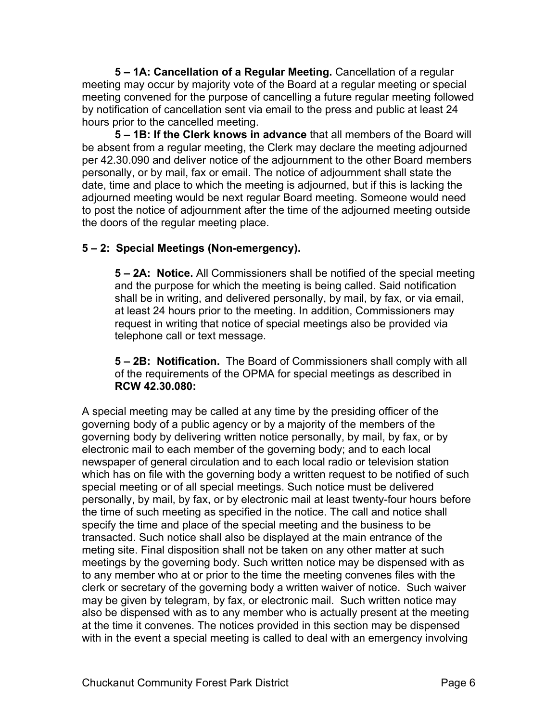**5 – 1A: Cancellation of a Regular Meeting.** Cancellation of a regular meeting may occur by majority vote of the Board at a regular meeting or special meeting convened for the purpose of cancelling a future regular meeting followed by notification of cancellation sent via email to the press and public at least 24 hours prior to the cancelled meeting.

**5 – 1B: If the Clerk knows in advance** that all members of the Board will be absent from a regular meeting, the Clerk may declare the meeting adjourned per 42.30.090 and deliver notice of the adjournment to the other Board members personally, or by mail, fax or email. The notice of adjournment shall state the date, time and place to which the meeting is adjourned, but if this is lacking the adjourned meeting would be next regular Board meeting. Someone would need to post the notice of adjournment after the time of the adjourned meeting outside the doors of the regular meeting place.

#### **5 – 2: Special Meetings (Non-emergency).**

**5 – 2A: Notice.** All Commissioners shall be notified of the special meeting and the purpose for which the meeting is being called. Said notification shall be in writing, and delivered personally, by mail, by fax, or via email, at least 24 hours prior to the meeting. In addition, Commissioners may request in writing that notice of special meetings also be provided via telephone call or text message.

**5 – 2B: Notification.** The Board of Commissioners shall comply with all of the requirements of the OPMA for special meetings as described in **RCW 42.30.080:**

A special meeting may be called at any time by the presiding officer of the governing body of a public agency or by a majority of the members of the governing body by delivering written notice personally, by mail, by fax, or by electronic mail to each member of the governing body; and to each local newspaper of general circulation and to each local radio or television station which has on file with the governing body a written request to be notified of such special meeting or of all special meetings. Such notice must be delivered personally, by mail, by fax, or by electronic mail at least twenty-four hours before the time of such meeting as specified in the notice. The call and notice shall specify the time and place of the special meeting and the business to be transacted. Such notice shall also be displayed at the main entrance of the meting site. Final disposition shall not be taken on any other matter at such meetings by the governing body. Such written notice may be dispensed with as to any member who at or prior to the time the meeting convenes files with the clerk or secretary of the governing body a written waiver of notice. Such waiver may be given by telegram, by fax, or electronic mail. Such written notice may also be dispensed with as to any member who is actually present at the meeting at the time it convenes. The notices provided in this section may be dispensed with in the event a special meeting is called to deal with an emergency involving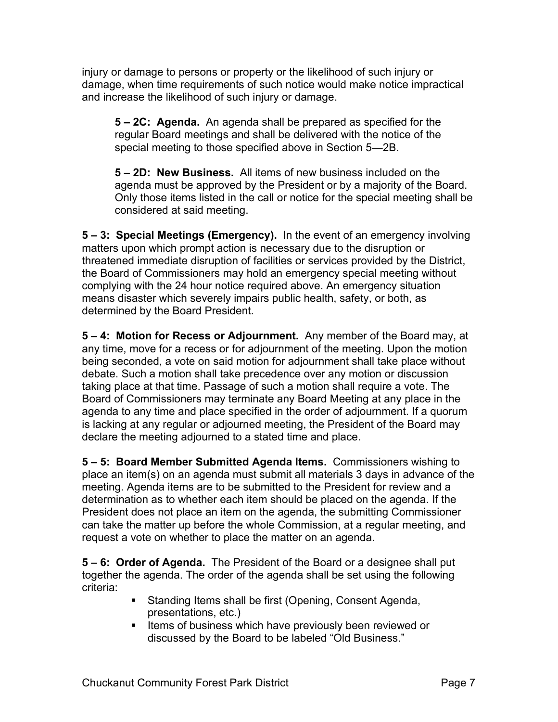injury or damage to persons or property or the likelihood of such injury or damage, when time requirements of such notice would make notice impractical and increase the likelihood of such injury or damage.

**5 – 2C: Agenda.** An agenda shall be prepared as specified for the regular Board meetings and shall be delivered with the notice of the special meeting to those specified above in Section 5—2B.

**5 – 2D: New Business.** All items of new business included on the agenda must be approved by the President or by a majority of the Board. Only those items listed in the call or notice for the special meeting shall be considered at said meeting.

**5 – 3: Special Meetings (Emergency).** In the event of an emergency involving matters upon which prompt action is necessary due to the disruption or threatened immediate disruption of facilities or services provided by the District, the Board of Commissioners may hold an emergency special meeting without complying with the 24 hour notice required above. An emergency situation means disaster which severely impairs public health, safety, or both, as determined by the Board President.

**5 – 4: Motion for Recess or Adjournment.** Any member of the Board may, at any time, move for a recess or for adjournment of the meeting. Upon the motion being seconded, a vote on said motion for adjournment shall take place without debate. Such a motion shall take precedence over any motion or discussion taking place at that time. Passage of such a motion shall require a vote. The Board of Commissioners may terminate any Board Meeting at any place in the agenda to any time and place specified in the order of adjournment. If a quorum is lacking at any regular or adjourned meeting, the President of the Board may declare the meeting adjourned to a stated time and place.

**5 – 5: Board Member Submitted Agenda Items.** Commissioners wishing to place an item(s) on an agenda must submit all materials 3 days in advance of the meeting. Agenda items are to be submitted to the President for review and a determination as to whether each item should be placed on the agenda. If the President does not place an item on the agenda, the submitting Commissioner can take the matter up before the whole Commission, at a regular meeting, and request a vote on whether to place the matter on an agenda.

**5 – 6: Order of Agenda.** The President of the Board or a designee shall put together the agenda. The order of the agenda shall be set using the following criteria:

- Standing Items shall be first (Opening, Consent Agenda, presentations, etc.)
- Items of business which have previously been reviewed or discussed by the Board to be labeled "Old Business."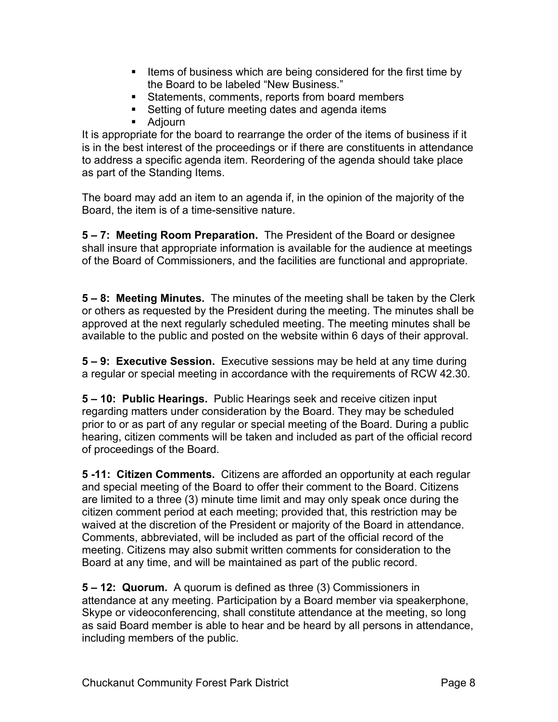- Items of business which are being considered for the first time by the Board to be labeled "New Business."
- Statements, comments, reports from board members
- Setting of future meeting dates and agenda items
- Adjourn

It is appropriate for the board to rearrange the order of the items of business if it is in the best interest of the proceedings or if there are constituents in attendance to address a specific agenda item. Reordering of the agenda should take place as part of the Standing Items.

The board may add an item to an agenda if, in the opinion of the majority of the Board, the item is of a time-sensitive nature.

**5 – 7: Meeting Room Preparation.** The President of the Board or designee shall insure that appropriate information is available for the audience at meetings of the Board of Commissioners, and the facilities are functional and appropriate.

**5 – 8: Meeting Minutes.** The minutes of the meeting shall be taken by the Clerk or others as requested by the President during the meeting. The minutes shall be approved at the next regularly scheduled meeting. The meeting minutes shall be available to the public and posted on the website within 6 days of their approval.

**5 – 9: Executive Session.** Executive sessions may be held at any time during a regular or special meeting in accordance with the requirements of RCW 42.30.

**5 – 10: Public Hearings.** Public Hearings seek and receive citizen input regarding matters under consideration by the Board. They may be scheduled prior to or as part of any regular or special meeting of the Board. During a public hearing, citizen comments will be taken and included as part of the official record of proceedings of the Board.

**5 -11: Citizen Comments.** Citizens are afforded an opportunity at each regular and special meeting of the Board to offer their comment to the Board. Citizens are limited to a three (3) minute time limit and may only speak once during the citizen comment period at each meeting; provided that, this restriction may be waived at the discretion of the President or majority of the Board in attendance. Comments, abbreviated, will be included as part of the official record of the meeting. Citizens may also submit written comments for consideration to the Board at any time, and will be maintained as part of the public record.

**5 – 12: Quorum.** A quorum is defined as three (3) Commissioners in attendance at any meeting. Participation by a Board member via speakerphone, Skype or videoconferencing, shall constitute attendance at the meeting, so long as said Board member is able to hear and be heard by all persons in attendance, including members of the public.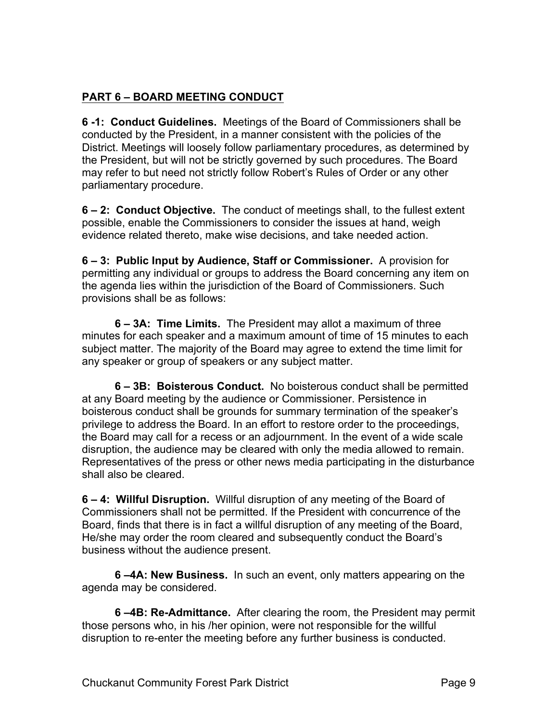#### **PART 6 – BOARD MEETING CONDUCT**

**6 -1: Conduct Guidelines.** Meetings of the Board of Commissioners shall be conducted by the President, in a manner consistent with the policies of the District. Meetings will loosely follow parliamentary procedures, as determined by the President, but will not be strictly governed by such procedures. The Board may refer to but need not strictly follow Robert's Rules of Order or any other parliamentary procedure.

**6 – 2: Conduct Objective.** The conduct of meetings shall, to the fullest extent possible, enable the Commissioners to consider the issues at hand, weigh evidence related thereto, make wise decisions, and take needed action.

**6 – 3: Public Input by Audience, Staff or Commissioner.** A provision for permitting any individual or groups to address the Board concerning any item on the agenda lies within the jurisdiction of the Board of Commissioners. Such provisions shall be as follows:

**6 – 3A: Time Limits.** The President may allot a maximum of three minutes for each speaker and a maximum amount of time of 15 minutes to each subject matter. The majority of the Board may agree to extend the time limit for any speaker or group of speakers or any subject matter.

**6 – 3B: Boisterous Conduct.** No boisterous conduct shall be permitted at any Board meeting by the audience or Commissioner. Persistence in boisterous conduct shall be grounds for summary termination of the speaker's privilege to address the Board. In an effort to restore order to the proceedings, the Board may call for a recess or an adjournment. In the event of a wide scale disruption, the audience may be cleared with only the media allowed to remain. Representatives of the press or other news media participating in the disturbance shall also be cleared.

**6 – 4: Willful Disruption.** Willful disruption of any meeting of the Board of Commissioners shall not be permitted. If the President with concurrence of the Board, finds that there is in fact a willful disruption of any meeting of the Board, He/she may order the room cleared and subsequently conduct the Board's business without the audience present.

**6 –4A: New Business.** In such an event, only matters appearing on the agenda may be considered.

**6 –4B: Re-Admittance.** After clearing the room, the President may permit those persons who, in his /her opinion, were not responsible for the willful disruption to re-enter the meeting before any further business is conducted.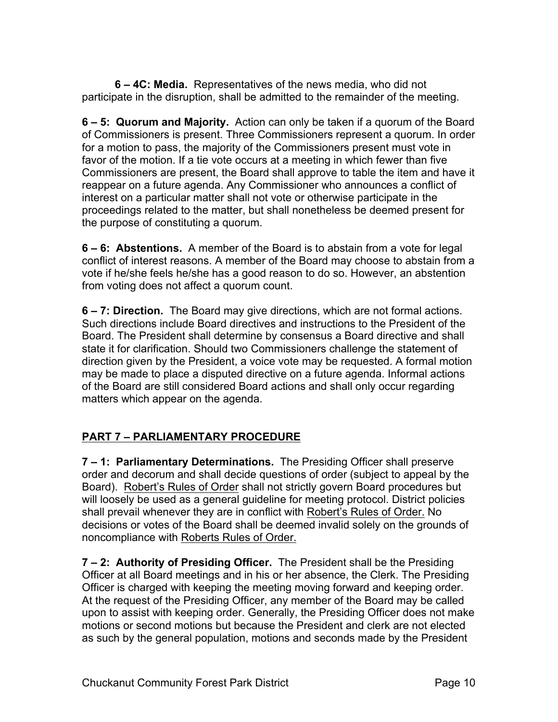**6 – 4C: Media.** Representatives of the news media, who did not participate in the disruption, shall be admitted to the remainder of the meeting.

**6 – 5: Quorum and Majority.** Action can only be taken if a quorum of the Board of Commissioners is present. Three Commissioners represent a quorum. In order for a motion to pass, the majority of the Commissioners present must vote in favor of the motion. If a tie vote occurs at a meeting in which fewer than five Commissioners are present, the Board shall approve to table the item and have it reappear on a future agenda. Any Commissioner who announces a conflict of interest on a particular matter shall not vote or otherwise participate in the proceedings related to the matter, but shall nonetheless be deemed present for the purpose of constituting a quorum.

**6 – 6: Abstentions.** A member of the Board is to abstain from a vote for legal conflict of interest reasons. A member of the Board may choose to abstain from a vote if he/she feels he/she has a good reason to do so. However, an abstention from voting does not affect a quorum count.

**6 – 7: Direction.** The Board may give directions, which are not formal actions. Such directions include Board directives and instructions to the President of the Board. The President shall determine by consensus a Board directive and shall state it for clarification. Should two Commissioners challenge the statement of direction given by the President, a voice vote may be requested. A formal motion may be made to place a disputed directive on a future agenda. Informal actions of the Board are still considered Board actions and shall only occur regarding matters which appear on the agenda.

## **PART 7 – PARLIAMENTARY PROCEDURE**

**7 – 1: Parliamentary Determinations.** The Presiding Officer shall preserve order and decorum and shall decide questions of order (subject to appeal by the Board). Robert's Rules of Order shall not strictly govern Board procedures but will loosely be used as a general guideline for meeting protocol. District policies shall prevail whenever they are in conflict with Robert's Rules of Order. No decisions or votes of the Board shall be deemed invalid solely on the grounds of noncompliance with Roberts Rules of Order.

**7 – 2: Authority of Presiding Officer.** The President shall be the Presiding Officer at all Board meetings and in his or her absence, the Clerk. The Presiding Officer is charged with keeping the meeting moving forward and keeping order. At the request of the Presiding Officer, any member of the Board may be called upon to assist with keeping order. Generally, the Presiding Officer does not make motions or second motions but because the President and clerk are not elected as such by the general population, motions and seconds made by the President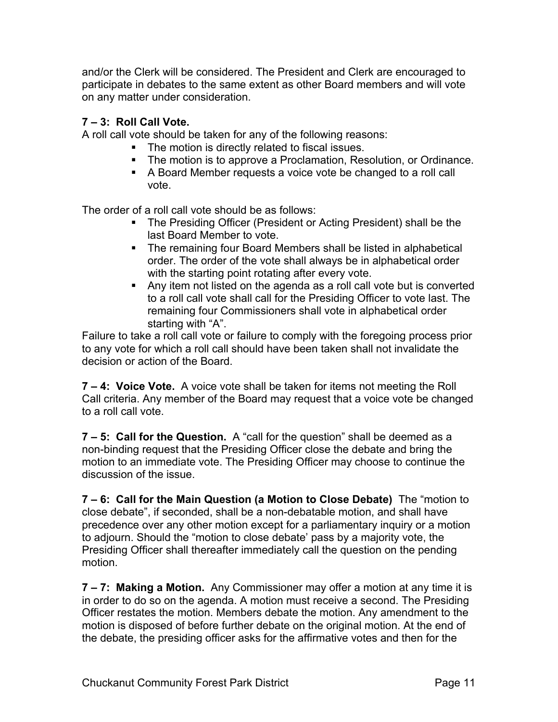and/or the Clerk will be considered. The President and Clerk are encouraged to participate in debates to the same extent as other Board members and will vote on any matter under consideration.

#### **7 – 3: Roll Call Vote.**

A roll call vote should be taken for any of the following reasons:

- The motion is directly related to fiscal issues.
- The motion is to approve a Proclamation, Resolution, or Ordinance.
- A Board Member requests a voice vote be changed to a roll call vote.

The order of a roll call vote should be as follows:

- The Presiding Officer (President or Acting President) shall be the last Board Member to vote.
- The remaining four Board Members shall be listed in alphabetical order. The order of the vote shall always be in alphabetical order with the starting point rotating after every vote.
- Any item not listed on the agenda as a roll call vote but is converted to a roll call vote shall call for the Presiding Officer to vote last. The remaining four Commissioners shall vote in alphabetical order starting with "A".

Failure to take a roll call vote or failure to comply with the foregoing process prior to any vote for which a roll call should have been taken shall not invalidate the decision or action of the Board.

**7 – 4: Voice Vote.** A voice vote shall be taken for items not meeting the Roll Call criteria. Any member of the Board may request that a voice vote be changed to a roll call vote.

**7 – 5: Call for the Question.** A "call for the question" shall be deemed as a non-binding request that the Presiding Officer close the debate and bring the motion to an immediate vote. The Presiding Officer may choose to continue the discussion of the issue.

**7 – 6: Call for the Main Question (a Motion to Close Debate)** The "motion to close debate", if seconded, shall be a non-debatable motion, and shall have precedence over any other motion except for a parliamentary inquiry or a motion to adjourn. Should the "motion to close debate' pass by a majority vote, the Presiding Officer shall thereafter immediately call the question on the pending motion.

**7 – 7: Making a Motion.** Any Commissioner may offer a motion at any time it is in order to do so on the agenda. A motion must receive a second. The Presiding Officer restates the motion. Members debate the motion. Any amendment to the motion is disposed of before further debate on the original motion. At the end of the debate, the presiding officer asks for the affirmative votes and then for the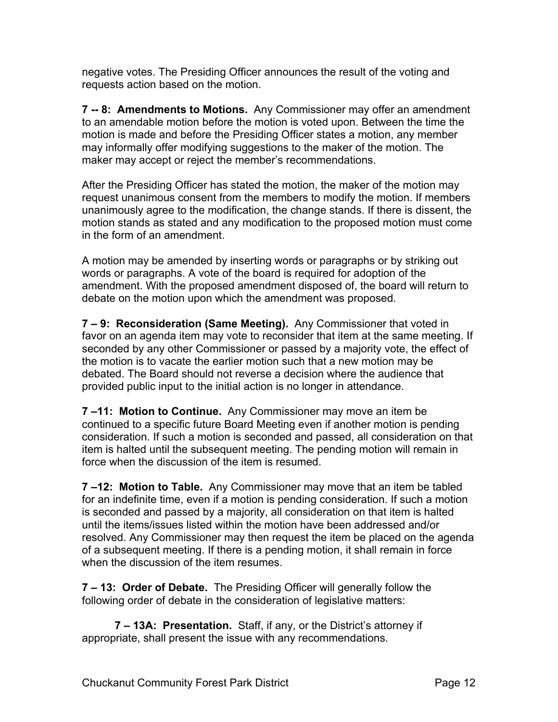negative votes. The Presiding Officer announces the result of the voting and requests action based on the motion.

**7 -- 8: Amendments to Motions.** Any Commissioner may offer an amendment to an amendable motion before the motion is voted upon. Between the time the motion is made and before the Presiding Officer states a motion, any member may informally offer modifying suggestions to the maker of the motion. The maker may accept or reject the member's recommendations.

After the Presiding Officer has stated the motion, the maker of the motion may request unanimous consent from the members to modify the motion. If members unanimously agree to the modification, the change stands. If there is dissent, the motion stands as stated and any modification to the proposed motion must come in the form of an amendment.

A motion may be amended by inserting words or paragraphs or by striking out words or paragraphs. A vote of the board is required for adoption of the amendment. With the proposed amendment disposed of, the board will return to debate on the motion upon which the amendment was proposed.

**7 – 9: Reconsideration (Same Meeting).** Any Commissioner that voted in favor on an agenda item may vote to reconsider that item at the same meeting. If seconded by any other Commissioner or passed by a majority vote, the effect of the motion is to vacate the earlier motion such that a new motion may be debated. The Board should not reverse a decision where the audience that provided public input to the initial action is no longer in attendance.

**7 –11: Motion to Continue.** Any Commissioner may move an item be continued to a specific future Board Meeting even if another motion is pending consideration. If such a motion is seconded and passed, all consideration on that item is halted until the subsequent meeting. The pending motion will remain in force when the discussion of the item is resumed.

**7 –12: Motion to Table.** Any Commissioner may move that an item be tabled for an indefinite time, even if a motion is pending consideration. If such a motion is seconded and passed by a majority, all consideration on that item is halted until the items/issues listed within the motion have been addressed and/or resolved. Any Commissioner may then request the item be placed on the agenda of a subsequent meeting. If there is a pending motion, it shall remain in force when the discussion of the item resumes.

**7 – 13: Order of Debate.** The Presiding Officer will generally follow the following order of debate in the consideration of legislative matters:

**7 – 13A: Presentation.** Staff, if any, or the District's attorney if appropriate, shall present the issue with any recommendations.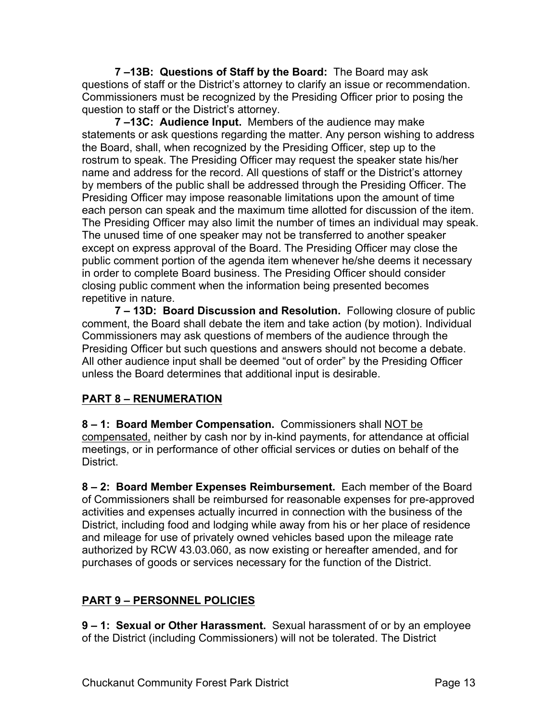**7 –13B: Questions of Staff by the Board:** The Board may ask questions of staff or the District's attorney to clarify an issue or recommendation. Commissioners must be recognized by the Presiding Officer prior to posing the question to staff or the District's attorney.

**7 –13C: Audience Input.** Members of the audience may make statements or ask questions regarding the matter. Any person wishing to address the Board, shall, when recognized by the Presiding Officer, step up to the rostrum to speak. The Presiding Officer may request the speaker state his/her name and address for the record. All questions of staff or the District's attorney by members of the public shall be addressed through the Presiding Officer. The Presiding Officer may impose reasonable limitations upon the amount of time each person can speak and the maximum time allotted for discussion of the item. The Presiding Officer may also limit the number of times an individual may speak. The unused time of one speaker may not be transferred to another speaker except on express approval of the Board. The Presiding Officer may close the public comment portion of the agenda item whenever he/she deems it necessary in order to complete Board business. The Presiding Officer should consider closing public comment when the information being presented becomes repetitive in nature.

**7 – 13D: Board Discussion and Resolution.** Following closure of public comment, the Board shall debate the item and take action (by motion). Individual Commissioners may ask questions of members of the audience through the Presiding Officer but such questions and answers should not become a debate. All other audience input shall be deemed "out of order" by the Presiding Officer unless the Board determines that additional input is desirable.

#### **PART 8 – RENUMERATION**

**8 – 1: Board Member Compensation.** Commissioners shall NOT be compensated, neither by cash nor by in-kind payments, for attendance at official meetings, or in performance of other official services or duties on behalf of the District.

**8 – 2: Board Member Expenses Reimbursement.** Each member of the Board of Commissioners shall be reimbursed for reasonable expenses for pre-approved activities and expenses actually incurred in connection with the business of the District, including food and lodging while away from his or her place of residence and mileage for use of privately owned vehicles based upon the mileage rate authorized by RCW 43.03.060, as now existing or hereafter amended, and for purchases of goods or services necessary for the function of the District.

#### **PART 9 – PERSONNEL POLICIES**

**9 – 1: Sexual or Other Harassment.** Sexual harassment of or by an employee of the District (including Commissioners) will not be tolerated. The District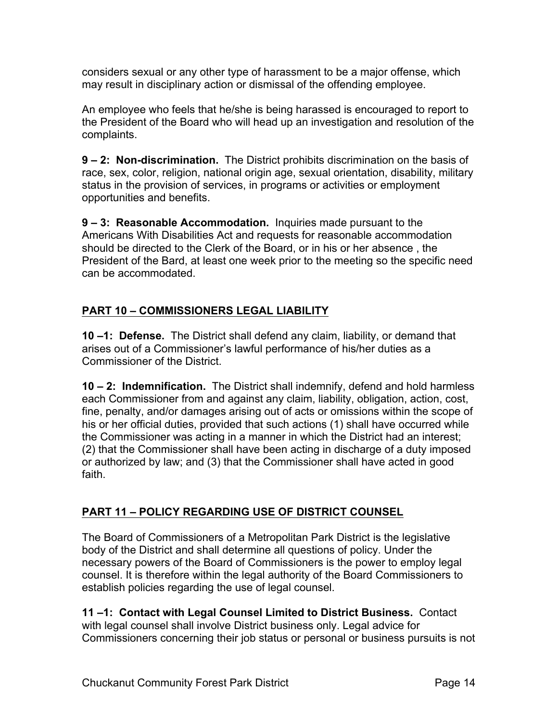considers sexual or any other type of harassment to be a major offense, which may result in disciplinary action or dismissal of the offending employee.

An employee who feels that he/she is being harassed is encouraged to report to the President of the Board who will head up an investigation and resolution of the complaints.

**9 – 2: Non-discrimination.** The District prohibits discrimination on the basis of race, sex, color, religion, national origin age, sexual orientation, disability, military status in the provision of services, in programs or activities or employment opportunities and benefits.

**9 – 3: Reasonable Accommodation.** Inquiries made pursuant to the Americans With Disabilities Act and requests for reasonable accommodation should be directed to the Clerk of the Board, or in his or her absence , the President of the Bard, at least one week prior to the meeting so the specific need can be accommodated.

## **PART 10 – COMMISSIONERS LEGAL LIABILITY**

**10 –1: Defense.** The District shall defend any claim, liability, or demand that arises out of a Commissioner's lawful performance of his/her duties as a Commissioner of the District.

**10 – 2: Indemnification.** The District shall indemnify, defend and hold harmless each Commissioner from and against any claim, liability, obligation, action, cost, fine, penalty, and/or damages arising out of acts or omissions within the scope of his or her official duties, provided that such actions (1) shall have occurred while the Commissioner was acting in a manner in which the District had an interest; (2) that the Commissioner shall have been acting in discharge of a duty imposed or authorized by law; and (3) that the Commissioner shall have acted in good faith.

#### **PART 11 – POLICY REGARDING USE OF DISTRICT COUNSEL**

The Board of Commissioners of a Metropolitan Park District is the legislative body of the District and shall determine all questions of policy. Under the necessary powers of the Board of Commissioners is the power to employ legal counsel. It is therefore within the legal authority of the Board Commissioners to establish policies regarding the use of legal counsel.

**11 –1: Contact with Legal Counsel Limited to District Business.** Contact with legal counsel shall involve District business only. Legal advice for Commissioners concerning their job status or personal or business pursuits is not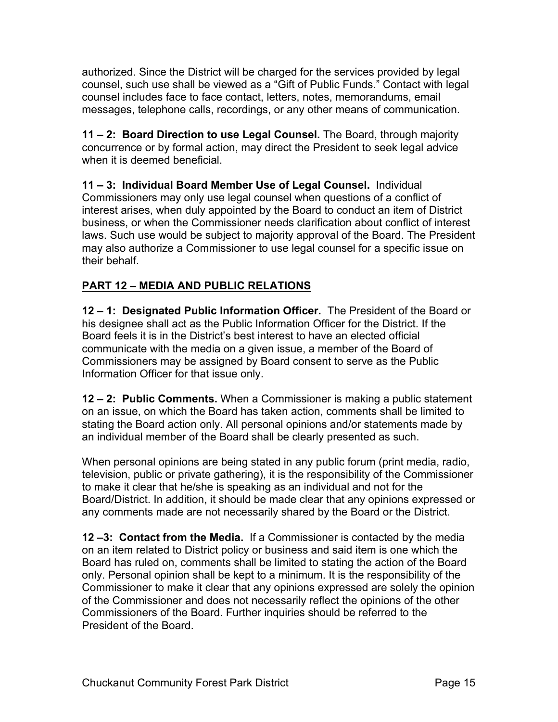authorized. Since the District will be charged for the services provided by legal counsel, such use shall be viewed as a "Gift of Public Funds." Contact with legal counsel includes face to face contact, letters, notes, memorandums, email messages, telephone calls, recordings, or any other means of communication.

**11 – 2: Board Direction to use Legal Counsel.** The Board, through majority concurrence or by formal action, may direct the President to seek legal advice when it is deemed beneficial.

**11 – 3: Individual Board Member Use of Legal Counsel.** Individual Commissioners may only use legal counsel when questions of a conflict of interest arises, when duly appointed by the Board to conduct an item of District business, or when the Commissioner needs clarification about conflict of interest laws. Such use would be subject to majority approval of the Board. The President may also authorize a Commissioner to use legal counsel for a specific issue on their behalf.

## **PART 12 – MEDIA AND PUBLIC RELATIONS**

**12 – 1: Designated Public Information Officer.** The President of the Board or his designee shall act as the Public Information Officer for the District. If the Board feels it is in the District's best interest to have an elected official communicate with the media on a given issue, a member of the Board of Commissioners may be assigned by Board consent to serve as the Public Information Officer for that issue only.

**12 – 2: Public Comments.** When a Commissioner is making a public statement on an issue, on which the Board has taken action, comments shall be limited to stating the Board action only. All personal opinions and/or statements made by an individual member of the Board shall be clearly presented as such.

When personal opinions are being stated in any public forum (print media, radio, television, public or private gathering), it is the responsibility of the Commissioner to make it clear that he/she is speaking as an individual and not for the Board/District. In addition, it should be made clear that any opinions expressed or any comments made are not necessarily shared by the Board or the District.

**12 –3: Contact from the Media.** If a Commissioner is contacted by the media on an item related to District policy or business and said item is one which the Board has ruled on, comments shall be limited to stating the action of the Board only. Personal opinion shall be kept to a minimum. It is the responsibility of the Commissioner to make it clear that any opinions expressed are solely the opinion of the Commissioner and does not necessarily reflect the opinions of the other Commissioners of the Board. Further inquiries should be referred to the President of the Board.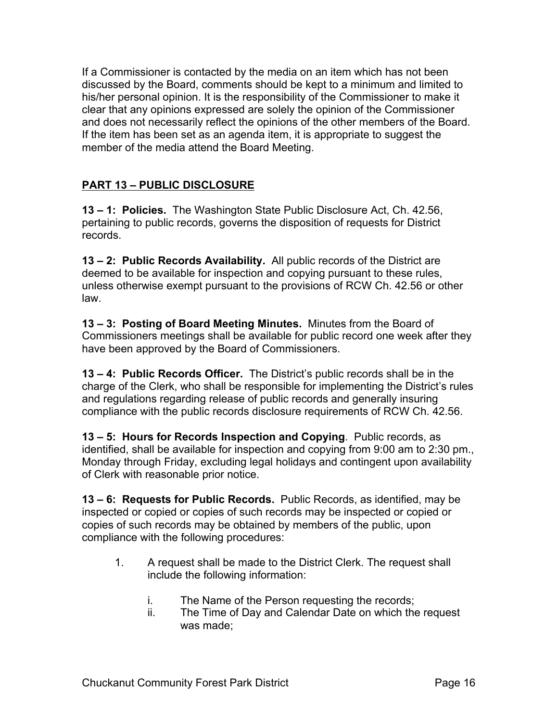If a Commissioner is contacted by the media on an item which has not been discussed by the Board, comments should be kept to a minimum and limited to his/her personal opinion. It is the responsibility of the Commissioner to make it clear that any opinions expressed are solely the opinion of the Commissioner and does not necessarily reflect the opinions of the other members of the Board. If the item has been set as an agenda item, it is appropriate to suggest the member of the media attend the Board Meeting.

## **PART 13 – PUBLIC DISCLOSURE**

**13 – 1: Policies.** The Washington State Public Disclosure Act, Ch. 42.56, pertaining to public records, governs the disposition of requests for District records.

**13 – 2: Public Records Availability.** All public records of the District are deemed to be available for inspection and copying pursuant to these rules, unless otherwise exempt pursuant to the provisions of RCW Ch. 42.56 or other law.

**13 – 3: Posting of Board Meeting Minutes.** Minutes from the Board of Commissioners meetings shall be available for public record one week after they have been approved by the Board of Commissioners.

**13 – 4: Public Records Officer.** The District's public records shall be in the charge of the Clerk, who shall be responsible for implementing the District's rules and regulations regarding release of public records and generally insuring compliance with the public records disclosure requirements of RCW Ch. 42.56.

**13 – 5: Hours for Records Inspection and Copying**. Public records, as identified, shall be available for inspection and copying from 9:00 am to 2:30 pm., Monday through Friday, excluding legal holidays and contingent upon availability of Clerk with reasonable prior notice.

**13 – 6: Requests for Public Records.** Public Records, as identified, may be inspected or copied or copies of such records may be inspected or copied or copies of such records may be obtained by members of the public, upon compliance with the following procedures:

- 1. A request shall be made to the District Clerk. The request shall include the following information:
	- i. The Name of the Person requesting the records;
	- ii. The Time of Day and Calendar Date on which the request was made;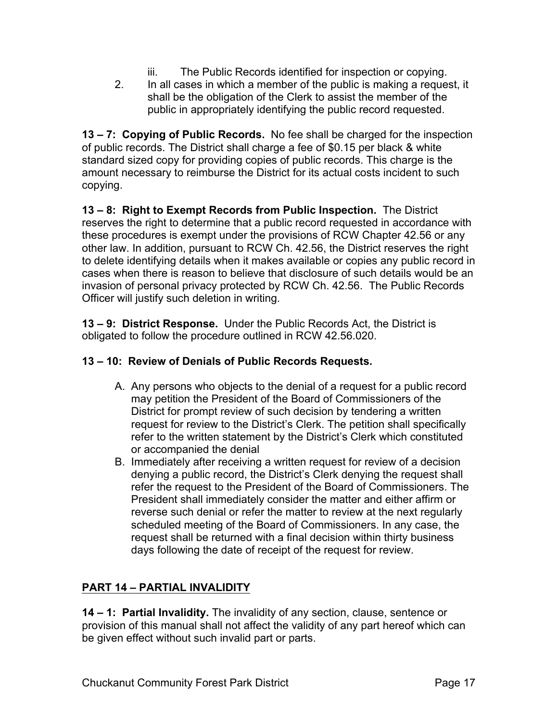- iii. The Public Records identified for inspection or copying.
- 2. In all cases in which a member of the public is making a request, it shall be the obligation of the Clerk to assist the member of the public in appropriately identifying the public record requested.

**13 – 7: Copying of Public Records.** No fee shall be charged for the inspection of public records. The District shall charge a fee of \$0.15 per black & white standard sized copy for providing copies of public records. This charge is the amount necessary to reimburse the District for its actual costs incident to such copying.

**13 – 8: Right to Exempt Records from Public Inspection.** The District reserves the right to determine that a public record requested in accordance with these procedures is exempt under the provisions of RCW Chapter 42.56 or any other law. In addition, pursuant to RCW Ch. 42.56, the District reserves the right to delete identifying details when it makes available or copies any public record in cases when there is reason to believe that disclosure of such details would be an invasion of personal privacy protected by RCW Ch. 42.56. The Public Records Officer will justify such deletion in writing.

**13 – 9: District Response.** Under the Public Records Act, the District is obligated to follow the procedure outlined in RCW 42.56.020.

#### **13 – 10: Review of Denials of Public Records Requests.**

- A. Any persons who objects to the denial of a request for a public record may petition the President of the Board of Commissioners of the District for prompt review of such decision by tendering a written request for review to the District's Clerk. The petition shall specifically refer to the written statement by the District's Clerk which constituted or accompanied the denial
- B. Immediately after receiving a written request for review of a decision denying a public record, the District's Clerk denying the request shall refer the request to the President of the Board of Commissioners. The President shall immediately consider the matter and either affirm or reverse such denial or refer the matter to review at the next regularly scheduled meeting of the Board of Commissioners. In any case, the request shall be returned with a final decision within thirty business days following the date of receipt of the request for review.

#### **PART 14 – PARTIAL INVALIDITY**

**14 – 1: Partial Invalidity.** The invalidity of any section, clause, sentence or provision of this manual shall not affect the validity of any part hereof which can be given effect without such invalid part or parts.